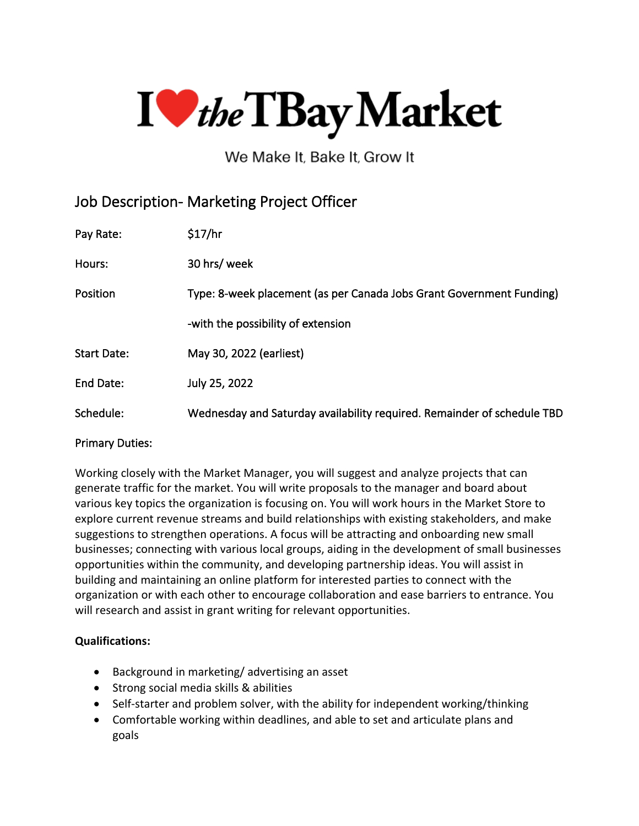

We Make It, Bake It, Grow It

## Job Description- Marketing Project Officer

| Pay Rate:          | \$17/hr                                                                 |
|--------------------|-------------------------------------------------------------------------|
| Hours:             | 30 hrs/ week                                                            |
| Position           | Type: 8-week placement (as per Canada Jobs Grant Government Funding)    |
|                    | -with the possibility of extension                                      |
| <b>Start Date:</b> | May 30, 2022 (earliest)                                                 |
| End Date:          | July 25, 2022                                                           |
| Schedule:          | Wednesday and Saturday availability required. Remainder of schedule TBD |

## Primary Duties:

Working closely with the Market Manager, you will suggest and analyze projects that can generate traffic for the market. You will write proposals to the manager and board about various key topics the organization is focusing on. You will work hours in the Market Store to explore current revenue streams and build relationships with existing stakeholders, and make suggestions to strengthen operations. A focus will be attracting and onboarding new small businesses; connecting with various local groups, aiding in the development of small businesses opportunities within the community, and developing partnership ideas. You will assist in building and maintaining an online platform for interested parties to connect with the organization or with each other to encourage collaboration and ease barriers to entrance. You will research and assist in grant writing for relevant opportunities.

## **Qualifications:**

- Background in marketing/ advertising an asset
- Strong social media skills & abilities
- Self-starter and problem solver, with the ability for independent working/thinking
- Comfortable working within deadlines, and able to set and articulate plans and goals